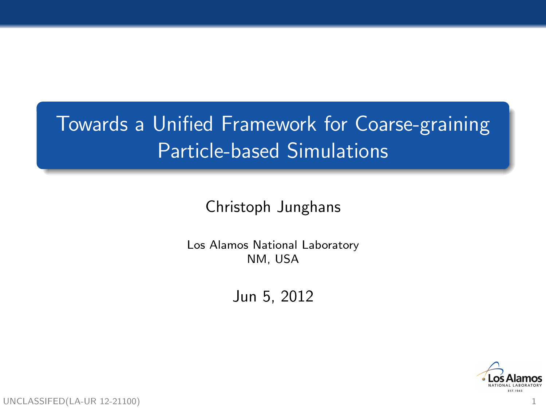# Towards a Unified Framework for Coarse-graining Particle-based Simulations

Christoph Junghans

Los Alamos National Laboratory NM, USA

Jun 5, 2012



UNCLASSIFED(LA-UR 12-21100)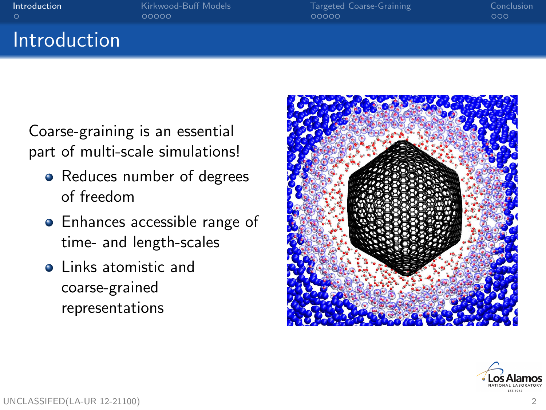Introduction

**[Introduction](#page-1-0)** Conclusion [Kirkwood-Buff Models](#page-4-0) [Targeted Coarse-Graining](#page-9-0) [Conclusion](#page-14-0)<br>  $\Omega$ 

## Coarse-graining is an essential part of multi-scale simulations!

- Reduces number of degrees of freedom
- Enhances accessible range of time- and length-scales
- **a** Links atomistic and coarse-grained representations



<span id="page-1-0"></span>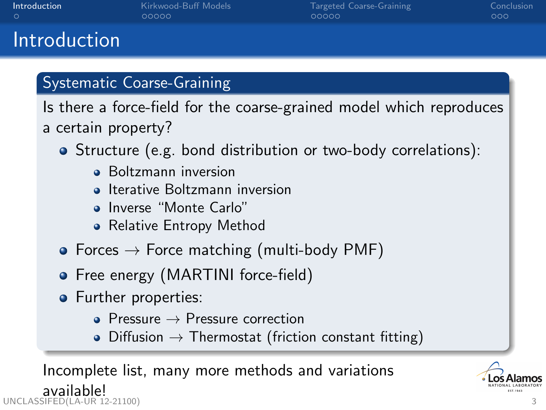| Introduction |  |
|--------------|--|
| $\cap$       |  |

## Introduction

#### Systematic Coarse-Graining

Is there a force-field for the coarse-grained model which reproduces a certain property?

- Structure (e.g. bond distribution or two-body correlations):
	- **a** Boltzmann inversion
	- **•** Iterative Boltzmann inversion
	- o Inverse "Monte Carlo"
	- Relative Entropy Method
- Forces  $\rightarrow$  Force matching (multi-body PMF)
- Free energy (MARTINI force-field)
- Further properties:
	- Pressure  $\rightarrow$  Pressure correction
	- Diffusion  $\rightarrow$  Thermostat (friction constant fitting)

Incomplete list, many more methods and variations available! UNCLASSIFED(LA-UR 12-21100) 3

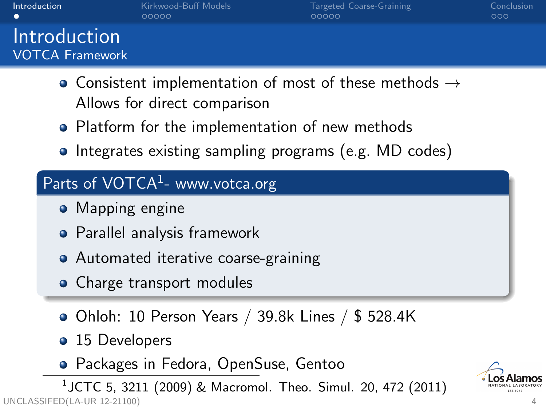| Introduction           | Kirkwood-Buff Models | Targeted Coarse-Graining | Conclusion |
|------------------------|----------------------|--------------------------|------------|
|                        | 00000                | 00000                    | 000        |
| Introduction           |                      |                          |            |
| <b>VOTCA Framework</b> |                      |                          |            |

- Consistent implementation of most of these methods  $\rightarrow$ Allows for direct comparison
- Platform for the implementation of new methods
- Integrates existing sampling programs (e.g. MD codes)

#### Parts of  $VOTCA<sup>1</sup>$ - www.votca.org

- Mapping engine
- **•** Parallel analysis framework
- Automated iterative coarse-graining
- Charge transport modules
- Ohloh: 10 Person Years / 39.8k Lines / \$ 528.4K
- 15 Developers
- Packages in Fedora, OpenSuse, Gentoo

 $^1$ JCTC 5, 3211 (2009) & Macromol. Theo. Simul. 20, 472 (2011) UNCLASSIFED(LA-UR 12-21100) 4

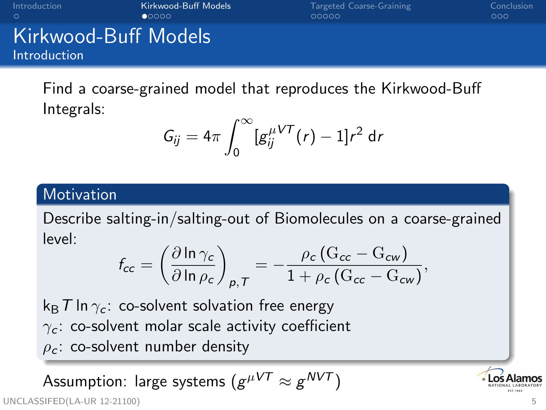|  | Introduction |  |  |  |  |
|--|--------------|--|--|--|--|
|  |              |  |  |  |  |

**[Introduction](#page-1-0) [Conclusion](#page-14-0)** [Targeted Coarse-Graining](#page-9-0) Conclusion Conclusion<br>
COOO COOO COOOO COOOO COOO

### Kirkwood-Buff Models Introduction

Find a coarse-grained model that reproduces the Kirkwood-Buff Integrals:

$$
G_{ij}=4\pi\int_0^\infty[g_{ij}^{\mu VT}(r)-1]r^2\,\mathrm{d}r
$$

#### **Motivation**

Describe salting-in/salting-out of Biomolecules on a coarse-grained level:

$$
f_{cc} = \left(\frac{\partial \ln \gamma_c}{\partial \ln \rho_c}\right)_{p,T} = -\frac{\rho_c (G_{cc} - G_{cw})}{1 + \rho_c (G_{cc} - G_{cw})},
$$

 $k_B T \ln \gamma_c$ : co-solvent solvation free energy  $\gamma_c$ : co-solvent molar scale activity coefficient  $\rho_c$ : co-solvent number density

Assumption: large systems  $(g^{\mu V T}\approx g^{N V T})$ UNCLASSIFED(LA-UR 12-21100) 5

<span id="page-4-0"></span>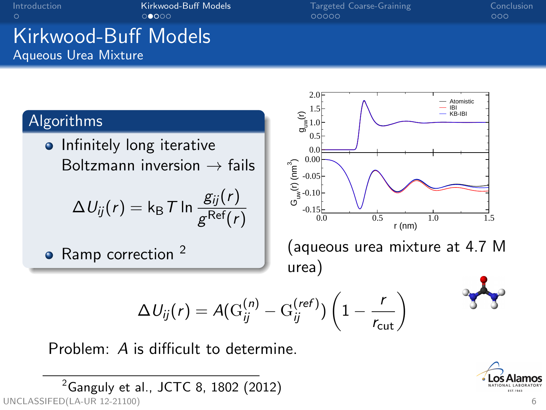[Introduction](#page-1-0) **[Kirkwood-Buff Models](#page-4-0)** [Targeted Coarse-Graining](#page-9-0) [Conclusion](#page-14-0)<br>O CODO COO COO COO COO COO

### Kirkwood-Buff Models Aqueous Urea Mixture



Problem: A is difficult to determine.

<sup>2</sup>Ganguly et al., JCTC 8, 1802 (2012)  $\text{UNCLASSEED}(\text{LA-UR 12-21100})$  6

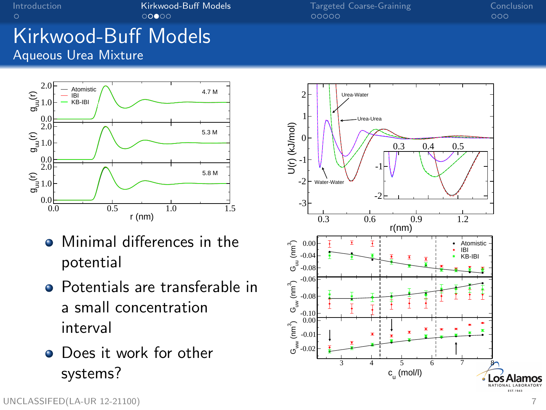Kirkwood-Buff Models Aqueous Urea Mixture



- **•** Minimal differences in the potential
- **•** Potentials are transferable in a small concentration interval
- Does it work for other systems?

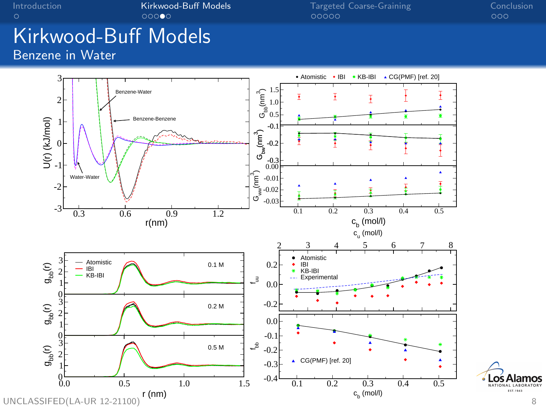#### Kirkwood-Buff Models Benzene in Water



EST.1943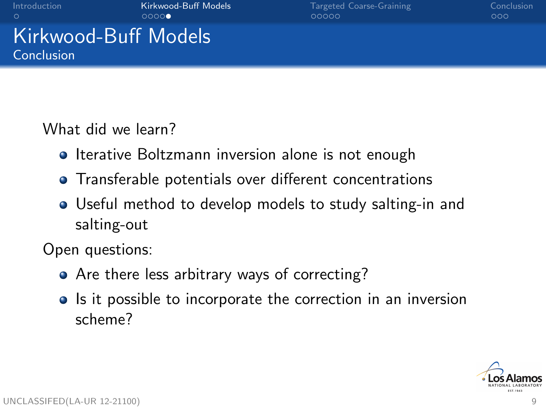| Introduction |  |  |
|--------------|--|--|
|              |  |  |

**[Introduction](#page-1-0) [Conclusion](#page-14-0) Conclusion**<br> [Targeted Coarse-Graining](#page-9-0) Conclusion<br>
COOO

### Kirkwood-Buff Models Conclusion

What did we learn?

- **•** Iterative Boltzmann inversion alone is not enough
- Transferable potentials over different concentrations
- Useful method to develop models to study salting-in and salting-out

Open questions:

- Are there less arbitrary ways of correcting?
- Is it possible to incorporate the correction in an inversion scheme?

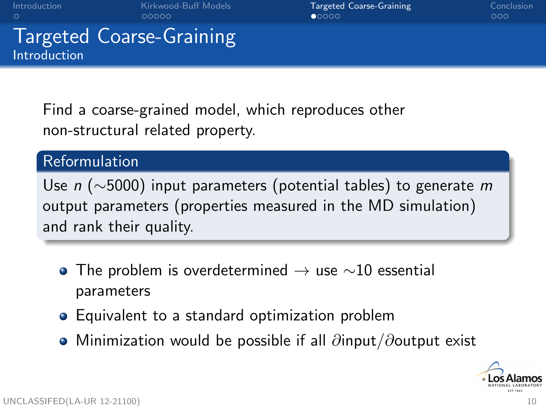| Introduction |  |  |  |  |  |
|--------------|--|--|--|--|--|
| $\sim$       |  |  |  |  |  |

Interview [Conclusion](#page-14-0) **[Targeted Coarse-Graining](#page-9-0)** Conclusion<br>
Conclusion Conclusion Conclusion Conclusion Conclusion

#### Targeted Coarse-Graining Introduction

Find a coarse-grained model, which reproduces other non-structural related property.

#### Reformulation

Use n (∼5000) input parameters (potential tables) to generate m output parameters (properties measured in the MD simulation) and rank their quality.

- The problem is overdetermined  $\rightarrow$  use  $\sim$ 10 essential parameters
- **•** Equivalent to a standard optimization problem
- $\bullet$  Minimization would be possible if all  $\partial$ input/ $\partial$ output exist

<span id="page-9-0"></span>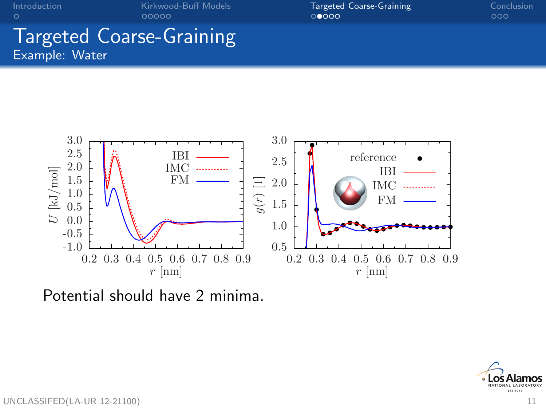#### Targeted Coarse-Graining Example: Water



Potential should have 2 minima.

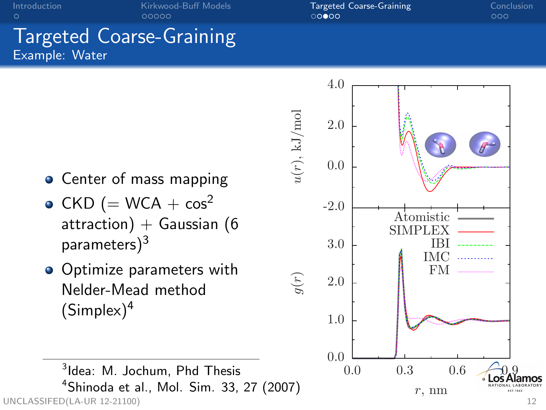#### Targeted Coarse-Graining Example: Water



- CKD (= WCA +  $\cos^2$ attraction) + Gaussian (6 parameters $)^3$
- Optimize parameters with Nelder-Mead method  $(Simplex)<sup>4</sup>$

<sup>3</sup> Idea: M. Jochum, Phd Thesis <sup>4</sup>Shinoda et al., Mol. Sim. 33, 27 (2007)  $\frac{1}{2}$  UNCLASSIFED(LA-UR 12-21100) 12

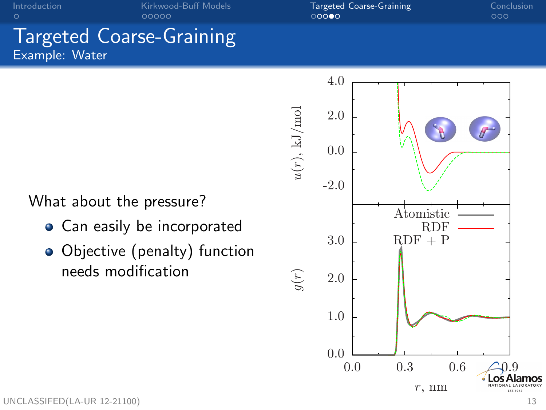### Targeted Coarse-Graining Example: Water

What about the pressure?

- Can easily be incorporated
- Objective (penalty) function needs modification

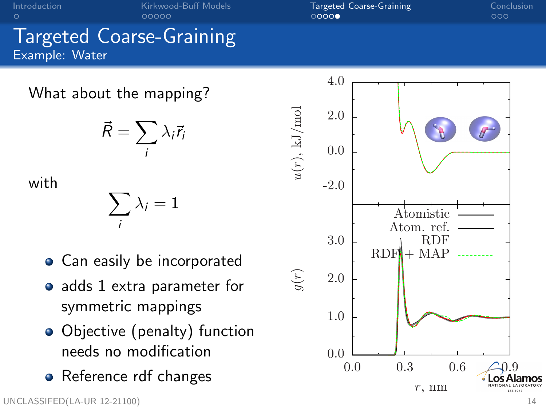#### Targeted Coarse-Graining Example: Water

What about the mapping?

$$
\vec{R} = \sum_i \lambda_i \vec{r}_i
$$

with

$$
\sum_i \lambda_i = 1
$$

- Can easily be incorporated
- adds 1 extra parameter for symmetric mappings
- Objective (penalty) function needs no modification
- Reference rdf changes

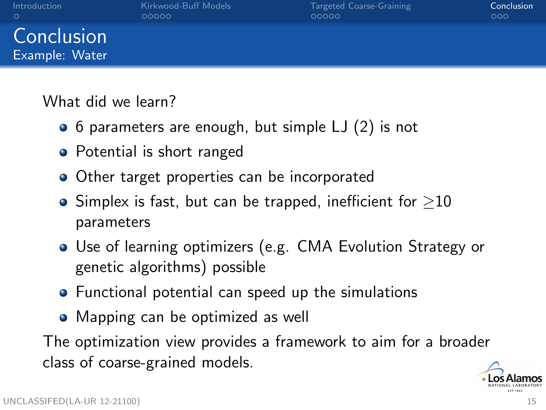| Introduction   | Kirkwood-Buff Models | Targeted Coarse-Graining | Conclusion |
|----------------|----------------------|--------------------------|------------|
|                | 00000                | 00000                    | 000        |
| Conclusion     |                      |                          |            |
| Example: Water |                      |                          |            |

What did we learn?

- 6 parameters are enough, but simple LJ (2) is not
- Potential is short ranged
- Other target properties can be incorporated
- $\bullet$  Simplex is fast, but can be trapped, inefficient for  $>10$ parameters
- Use of learning optimizers (e.g. CMA Evolution Strategy or genetic algorithms) possible
- Functional potential can speed up the simulations
- Mapping can be optimized as well

The optimization view provides a framework to aim for a broader class of coarse-grained models.

<span id="page-14-0"></span>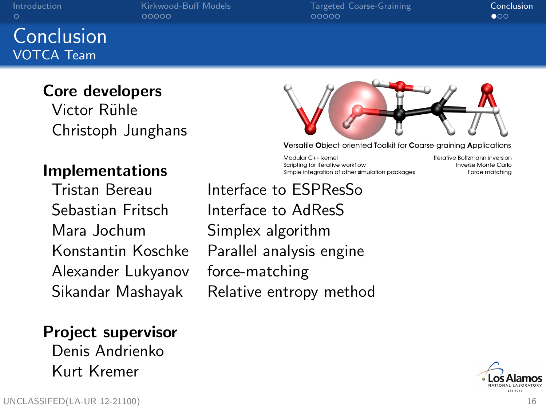### Conclusion VOTCA Team

#### Core developers Victor Rühle Christoph Junghans



Versatile Object-oriented Toolkit for Coarse-araining Applications

Modular C++ kernel Scripting for iterative workflow Simple integration of other simulation packages Iterative Boltzmann inversion Inverse Monte Carlo Force matching

#### Implementations

Sebastian Fritsch Interface to AdResS Mara Jochum Simplex algorithm Alexander Lukyanov force-matching

Tristan Bereau Interface to ESPResSo Konstantin Koschke Parallel analysis engine Sikandar Mashayak Relative entropy method

#### Project supervisor

Denis Andrienko Kurt Kremer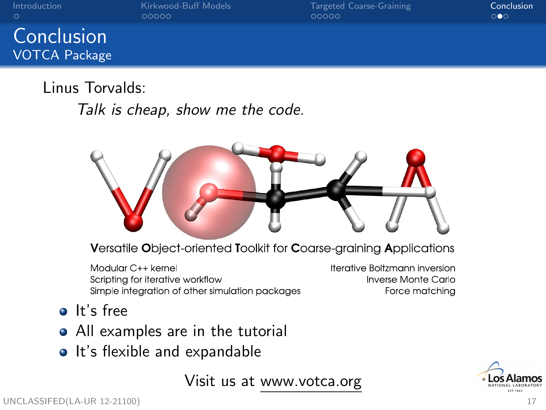| Introduction                       | Kirkwood-Buff Models | Targeted Coarse-Graining | Conclusion            |
|------------------------------------|----------------------|--------------------------|-----------------------|
| -റ                                 | 00000                | 00000                    | $\circ \bullet \circ$ |
| Conclusion<br><b>VOTCA Package</b> |                      |                          |                       |

Linus Torvalds:

Talk is cheap, show me the code.



Versatile Object-oriented Toolkit for Coarse-graining Applications

Modular C++ kernel Scripting for iterative workflow Simple integration of other simulation packages **Iterative Boltzmann inversion Inverse Monte Carlo** Force matching

- o It's free
- All examples are in the tutorial
- It's flexible and expandable

Visit us at www.votca.org

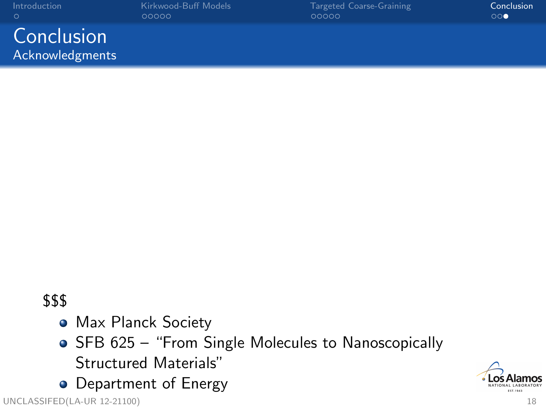| Introduction    | Kirkwood-Buff Models | Targeted Coarse-Graining | Conclusion          |
|-----------------|----------------------|--------------------------|---------------------|
|                 | 00000                | 00000                    | $\circ\circ\bullet$ |
| Conclusion      |                      |                          |                     |
| Acknowledgments |                      |                          |                     |

### \$\$\$

- **Max Planck Society**
- SFB 625 "From Single Molecules to Nanoscopically Structured Materials"
- Department of Energy